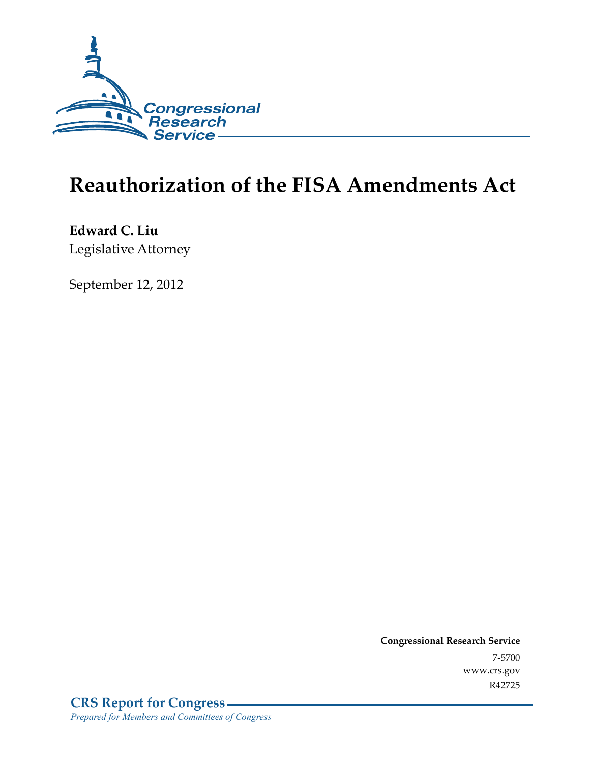

# **Reauthorization of the FISA Amendments Act**

**Edward C. Liu**  Legislative Attorney

September 12, 2012

**Congressional Research Service**  7-5700 www.crs.gov R42725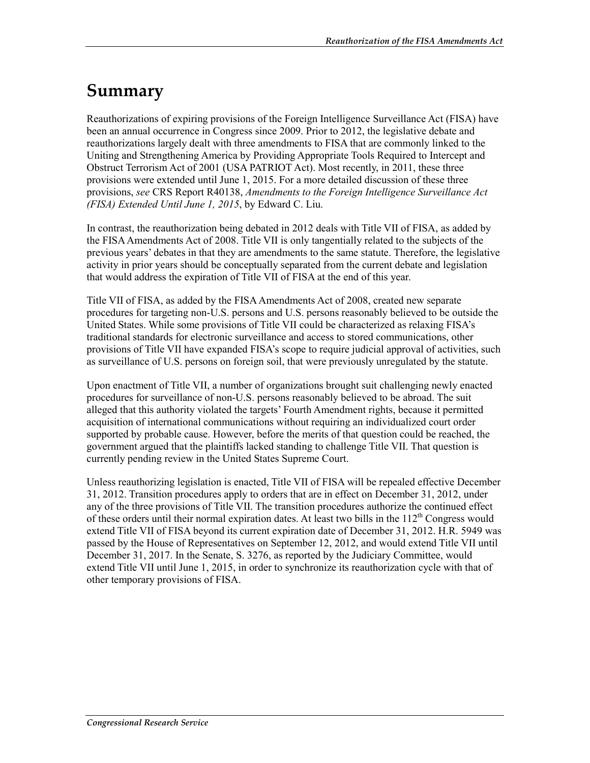## **Summary**

Reauthorizations of expiring provisions of the Foreign Intelligence Surveillance Act (FISA) have been an annual occurrence in Congress since 2009. Prior to 2012, the legislative debate and reauthorizations largely dealt with three amendments to FISA that are commonly linked to the Uniting and Strengthening America by Providing Appropriate Tools Required to Intercept and Obstruct Terrorism Act of 2001 (USA PATRIOT Act). Most recently, in 2011, these three provisions were extended until June 1, 2015. For a more detailed discussion of these three provisions, *see* CRS Report R40138, *Amendments to the Foreign Intelligence Surveillance Act (FISA) Extended Until June 1, 2015*, by Edward C. Liu.

In contrast, the reauthorization being debated in 2012 deals with Title VII of FISA, as added by the FISA Amendments Act of 2008. Title VII is only tangentially related to the subjects of the previous years' debates in that they are amendments to the same statute. Therefore, the legislative activity in prior years should be conceptually separated from the current debate and legislation that would address the expiration of Title VII of FISA at the end of this year.

Title VII of FISA, as added by the FISA Amendments Act of 2008, created new separate procedures for targeting non-U.S. persons and U.S. persons reasonably believed to be outside the United States. While some provisions of Title VII could be characterized as relaxing FISA's traditional standards for electronic surveillance and access to stored communications, other provisions of Title VII have expanded FISA's scope to require judicial approval of activities, such as surveillance of U.S. persons on foreign soil, that were previously unregulated by the statute.

Upon enactment of Title VII, a number of organizations brought suit challenging newly enacted procedures for surveillance of non-U.S. persons reasonably believed to be abroad. The suit alleged that this authority violated the targets' Fourth Amendment rights, because it permitted acquisition of international communications without requiring an individualized court order supported by probable cause. However, before the merits of that question could be reached, the government argued that the plaintiffs lacked standing to challenge Title VII. That question is currently pending review in the United States Supreme Court.

Unless reauthorizing legislation is enacted, Title VII of FISA will be repealed effective December 31, 2012. Transition procedures apply to orders that are in effect on December 31, 2012, under any of the three provisions of Title VII. The transition procedures authorize the continued effect of these orders until their normal expiration dates. At least two bills in the  $112<sup>th</sup>$  Congress would extend Title VII of FISA beyond its current expiration date of December 31, 2012. H.R. 5949 was passed by the House of Representatives on September 12, 2012, and would extend Title VII until December 31, 2017. In the Senate, S. 3276, as reported by the Judiciary Committee, would extend Title VII until June 1, 2015, in order to synchronize its reauthorization cycle with that of other temporary provisions of FISA.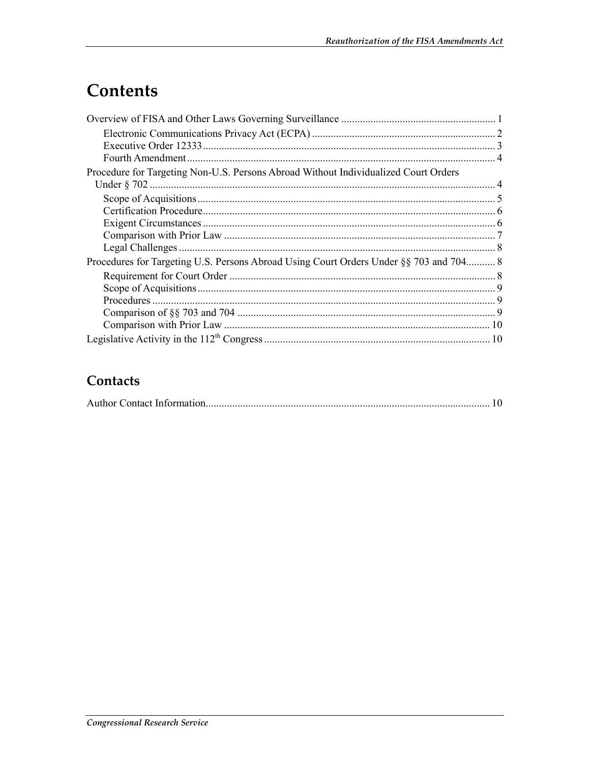## Contents

| Procedure for Targeting Non-U.S. Persons Abroad Without Individualized Court Orders    |  |
|----------------------------------------------------------------------------------------|--|
|                                                                                        |  |
|                                                                                        |  |
|                                                                                        |  |
|                                                                                        |  |
|                                                                                        |  |
| Procedures for Targeting U.S. Persons Abroad Using Court Orders Under §§ 703 and 704 8 |  |
|                                                                                        |  |
|                                                                                        |  |
|                                                                                        |  |
|                                                                                        |  |
|                                                                                        |  |
|                                                                                        |  |

#### Contacts

|--|--|--|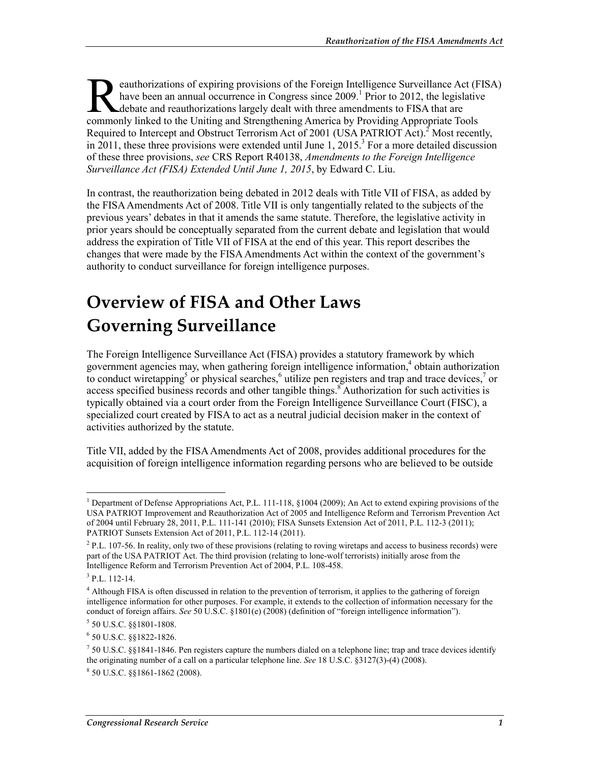eauthorizations of expiring provisions of the Foreign Intelligence Surveillance Act (FISA) have been an annual occurrence in Congress since 2009.<sup>1</sup> Prior to 2012, the legislative debate and reauthorizations largely dealt with three amendments to FISA that are eauthorizations of expiring provisions of the Foreign Intelligence Surveillance Act (F<br>have been an annual occurrence in Congress since 2009.<sup>1</sup> Prior to 2012, the legislative<br>debate and reauthorizations largely dealt with Required to Intercept and Obstruct Terrorism Act of 2001 (USA PATRIOT Act).<sup>2</sup> Most recently, in 2011, these three provisions were extended until June 1, 2015.<sup>3</sup> For a more detailed discussion of these three provisions, *see* CRS Report R40138, *Amendments to the Foreign Intelligence Surveillance Act (FISA) Extended Until June 1, 2015*, by Edward C. Liu.

In contrast, the reauthorization being debated in 2012 deals with Title VII of FISA, as added by the FISA Amendments Act of 2008. Title VII is only tangentially related to the subjects of the previous years' debates in that it amends the same statute. Therefore, the legislative activity in prior years should be conceptually separated from the current debate and legislation that would address the expiration of Title VII of FISA at the end of this year. This report describes the changes that were made by the FISA Amendments Act within the context of the government's authority to conduct surveillance for foreign intelligence purposes.

## **Overview of FISA and Other Laws Governing Surveillance**

The Foreign Intelligence Surveillance Act (FISA) provides a statutory framework by which government agencies may, when gathering foreign intelligence information,<sup>4</sup> obtain authorization to conduct wiretapping<sup>5</sup> or physical searches,<sup>6</sup> utilize pen registers and trap and trace devices,<sup>7</sup> or access specified business records and other tangible things.<sup>8</sup> Authorization for such activities is typically obtained via a court order from the Foreign Intelligence Surveillance Court (FISC), a specialized court created by FISA to act as a neutral judicial decision maker in the context of activities authorized by the statute.

Title VII, added by the FISA Amendments Act of 2008, provides additional procedures for the acquisition of foreign intelligence information regarding persons who are believed to be outside

<sup>&</sup>lt;u>.</u> <sup>1</sup> Department of Defense Appropriations Act, P.L. 111-118, §1004 (2009); An Act to extend expiring provisions of the USA PATRIOT Improvement and Reauthorization Act of 2005 and Intelligence Reform and Terrorism Prevention Act of 2004 until February 28, 2011, P.L. 111-141 (2010); FISA Sunsets Extension Act of 2011, P.L. 112-3 (2011); PATRIOT Sunsets Extension Act of 2011, P.L. 112-14 (2011).

 $^{2}$  P.L. 107-56. In reality, only two of these provisions (relating to roving wiretaps and access to business records) were part of the USA PATRIOT Act. The third provision (relating to lone-wolf terrorists) initially arose from the Intelligence Reform and Terrorism Prevention Act of 2004, P.L. 108-458.

 $3$  P.L. 112-14.

<sup>&</sup>lt;sup>4</sup> Although FISA is often discussed in relation to the prevention of terrorism, it applies to the gathering of foreign intelligence information for other purposes. For example, it extends to the collection of information necessary for the conduct of foreign affairs. *See* 50 U.S.C. §1801(e) (2008) (definition of "foreign intelligence information").

<sup>5</sup> 50 U.S.C. §§1801-1808.

<sup>6</sup> 50 U.S.C. §§1822-1826.

 $750$  U.S.C. §§1841-1846. Pen registers capture the numbers dialed on a telephone line; trap and trace devices identify the originating number of a call on a particular telephone line. *See* 18 U.S.C. §3127(3)-(4) (2008).

<sup>8</sup> 50 U.S.C. §§1861-1862 (2008).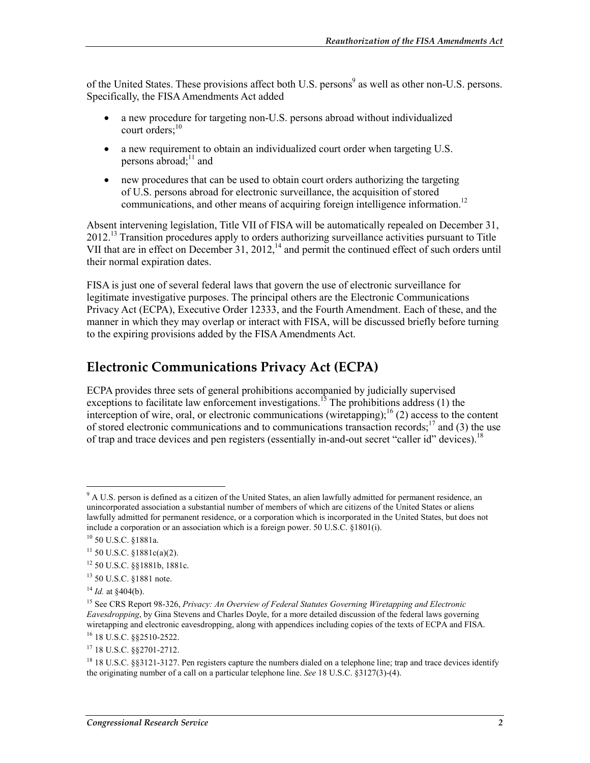of the United States. These provisions affect both U.S. persons<sup>9</sup> as well as other non-U.S. persons. Specifically, the FISA Amendments Act added

- a new procedure for targeting non-U.S. persons abroad without individualized court orders $^{10}$
- a new requirement to obtain an individualized court order when targeting U.S. persons abroad; $^{11}$  and
- new procedures that can be used to obtain court orders authorizing the targeting of U.S. persons abroad for electronic surveillance, the acquisition of stored communications, and other means of acquiring foreign intelligence information.<sup>12</sup>

Absent intervening legislation, Title VII of FISA will be automatically repealed on December 31, 2012.<sup>13</sup> Transition procedures apply to orders authorizing surveillance activities pursuant to Title VII that are in effect on December 31, 2012,<sup>14</sup> and permit the continued effect of such orders until their normal expiration dates.

FISA is just one of several federal laws that govern the use of electronic surveillance for legitimate investigative purposes. The principal others are the Electronic Communications Privacy Act (ECPA), Executive Order 12333, and the Fourth Amendment. Each of these, and the manner in which they may overlap or interact with FISA, will be discussed briefly before turning to the expiring provisions added by the FISA Amendments Act.

#### **Electronic Communications Privacy Act (ECPA)**

ECPA provides three sets of general prohibitions accompanied by judicially supervised exceptions to facilitate law enforcement investigations.<sup>15</sup> The prohibitions address (1) the interception of wire, oral, or electronic communications (wiretapping);<sup>16</sup> (2) access to the content of stored electronic communications and to communications transaction records;<sup>17</sup> and (3) the use of trap and trace devices and pen registers (essentially in-and-out secret "caller id" devices).<sup>18</sup>

<u>.</u>

16 18 U.S.C. §§2510-2522.

<sup>&</sup>lt;sup>9</sup> A U.S. person is defined as a citizen of the United States, an alien lawfully admitted for permanent residence, an unincorporated association a substantial number of members of which are citizens of the United States or aliens lawfully admitted for permanent residence, or a corporation which is incorporated in the United States, but does not include a corporation or an association which is a foreign power. 50 U.S.C. §1801(i).

<sup>10 50</sup> U.S.C. §1881a.

 $11$  50 U.S.C. §1881c(a)(2).

<sup>12 50</sup> U.S.C. §§1881b, 1881c.

<sup>13 50</sup> U.S.C. §1881 note.

<sup>14</sup> *Id.* at §404(b).

<sup>15</sup> See CRS Report 98-326, *Privacy: An Overview of Federal Statutes Governing Wiretapping and Electronic Eavesdropping*, by Gina Stevens and Charles Doyle, for a more detailed discussion of the federal laws governing wiretapping and electronic eavesdropping, along with appendices including copies of the texts of ECPA and FISA.

<sup>17 18</sup> U.S.C. §§2701-2712.

<sup>&</sup>lt;sup>18</sup> 18 U.S.C. §§3121-3127. Pen registers capture the numbers dialed on a telephone line; trap and trace devices identify the originating number of a call on a particular telephone line. *See* 18 U.S.C. §3127(3)-(4).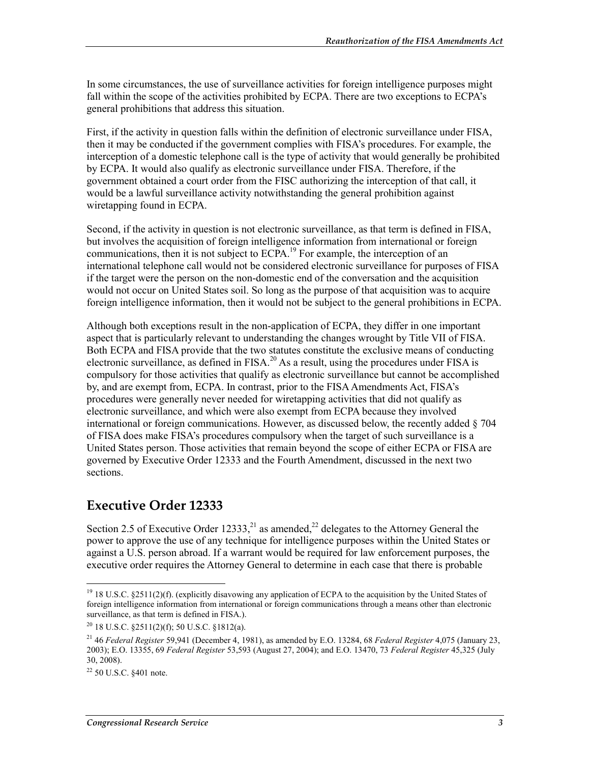In some circumstances, the use of surveillance activities for foreign intelligence purposes might fall within the scope of the activities prohibited by ECPA. There are two exceptions to ECPA's general prohibitions that address this situation.

First, if the activity in question falls within the definition of electronic surveillance under FISA, then it may be conducted if the government complies with FISA's procedures. For example, the interception of a domestic telephone call is the type of activity that would generally be prohibited by ECPA. It would also qualify as electronic surveillance under FISA. Therefore, if the government obtained a court order from the FISC authorizing the interception of that call, it would be a lawful surveillance activity notwithstanding the general prohibition against wiretapping found in ECPA.

Second, if the activity in question is not electronic surveillance, as that term is defined in FISA, but involves the acquisition of foreign intelligence information from international or foreign communications, then it is not subject to ECPA.<sup>19</sup> For example, the interception of an international telephone call would not be considered electronic surveillance for purposes of FISA if the target were the person on the non-domestic end of the conversation and the acquisition would not occur on United States soil. So long as the purpose of that acquisition was to acquire foreign intelligence information, then it would not be subject to the general prohibitions in ECPA.

Although both exceptions result in the non-application of ECPA, they differ in one important aspect that is particularly relevant to understanding the changes wrought by Title VII of FISA. Both ECPA and FISA provide that the two statutes constitute the exclusive means of conducting electronic surveillance, as defined in FISA.<sup>20</sup> As a result, using the procedures under FISA is compulsory for those activities that qualify as electronic surveillance but cannot be accomplished by, and are exempt from, ECPA. In contrast, prior to the FISA Amendments Act, FISA's procedures were generally never needed for wiretapping activities that did not qualify as electronic surveillance, and which were also exempt from ECPA because they involved international or foreign communications. However, as discussed below, the recently added § 704 of FISA does make FISA's procedures compulsory when the target of such surveillance is a United States person. Those activities that remain beyond the scope of either ECPA or FISA are governed by Executive Order 12333 and the Fourth Amendment, discussed in the next two sections.

#### **Executive Order 12333**

Section 2.5 of Executive Order 12333,  $^{21}$  as amended,  $^{22}$  delegates to the Attorney General the power to approve the use of any technique for intelligence purposes within the United States or against a U.S. person abroad. If a warrant would be required for law enforcement purposes, the executive order requires the Attorney General to determine in each case that there is probable

<sup>1</sup> <sup>19</sup> 18 U.S.C. §2511(2)(f). (explicitly disavowing any application of ECPA to the acquisition by the United States of foreign intelligence information from international or foreign communications through a means other than electronic surveillance, as that term is defined in FISA.).

 $20$  18 U.S.C.  $\S$ 2511(2)(f); 50 U.S.C.  $\S$ 1812(a).

<sup>21 46</sup> *Federal Register* 59,941 (December 4, 1981), as amended by E.O. 13284, 68 *Federal Register* 4,075 (January 23, 2003); E.O. 13355, 69 *Federal Register* 53,593 (August 27, 2004); and E.O. 13470, 73 *Federal Register* 45,325 (July 30, 2008).

 $22$  50 U.S.C.  $$401$  note.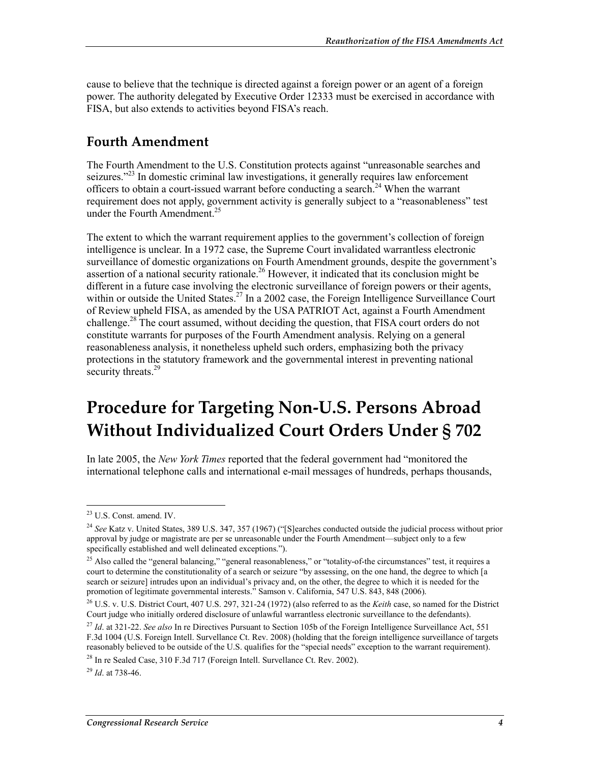cause to believe that the technique is directed against a foreign power or an agent of a foreign power. The authority delegated by Executive Order 12333 must be exercised in accordance with FISA, but also extends to activities beyond FISA's reach.

#### **Fourth Amendment**

The Fourth Amendment to the U.S. Constitution protects against "unreasonable searches and seizures."<sup>23</sup> In domestic criminal law investigations, it generally requires law enforcement officers to obtain a court-issued warrant before conducting a search.<sup>24</sup> When the warrant requirement does not apply, government activity is generally subject to a "reasonableness" test under the Fourth Amendment.<sup>25</sup>

The extent to which the warrant requirement applies to the government's collection of foreign intelligence is unclear. In a 1972 case, the Supreme Court invalidated warrantless electronic surveillance of domestic organizations on Fourth Amendment grounds, despite the government's assertion of a national security rationale.<sup>26</sup> However, it indicated that its conclusion might be different in a future case involving the electronic surveillance of foreign powers or their agents, within or outside the United States.<sup>27</sup> In a 2002 case, the Foreign Intelligence Surveillance Court of Review upheld FISA, as amended by the USA PATRIOT Act, against a Fourth Amendment challenge.<sup>28</sup> The court assumed, without deciding the question, that FISA court orders do not constitute warrants for purposes of the Fourth Amendment analysis. Relying on a general reasonableness analysis, it nonetheless upheld such orders, emphasizing both the privacy protections in the statutory framework and the governmental interest in preventing national security threats.<sup>29</sup>

## **Procedure for Targeting Non-U.S. Persons Abroad Without Individualized Court Orders Under § 702**

In late 2005, the *New York Times* reported that the federal government had "monitored the international telephone calls and international e-mail messages of hundreds, perhaps thousands,

1

<sup>29</sup> *Id*. at 738-46.

<sup>23</sup> U.S. Const. amend. IV.

<sup>&</sup>lt;sup>24</sup> See Katz v. United States, 389 U.S. 347, 357 (1967) ("[S]earches conducted outside the judicial process without prior approval by judge or magistrate are per se unreasonable under the Fourth Amendment—subject only to a few specifically established and well delineated exceptions.").

 $^{25}$  Also called the "general balancing," "general reasonableness," or "totality-of-the circumstances" test, it requires a court to determine the constitutionality of a search or seizure "by assessing, on the one hand, the degree to which [a search or seizure] intrudes upon an individual's privacy and, on the other, the degree to which it is needed for the promotion of legitimate governmental interests." Samson v. California, 547 U.S. 843, 848 (2006).

<sup>26</sup> U.S. v. U.S. District Court, 407 U.S. 297, 321-24 (1972) (also referred to as the *Keith* case, so named for the District Court judge who initially ordered disclosure of unlawful warrantless electronic surveillance to the defendants).

<sup>27</sup> *Id*. at 321-22. *See also* In re Directives Pursuant to Section 105b of the Foreign Intelligence Surveillance Act, 551 F.3d 1004 (U.S. Foreign Intell. Survellance Ct. Rev. 2008) (holding that the foreign intelligence surveillance of targets reasonably believed to be outside of the U.S. qualifies for the "special needs" exception to the warrant requirement).

<sup>&</sup>lt;sup>28</sup> In re Sealed Case, 310 F.3d 717 (Foreign Intell. Survellance Ct. Rev. 2002).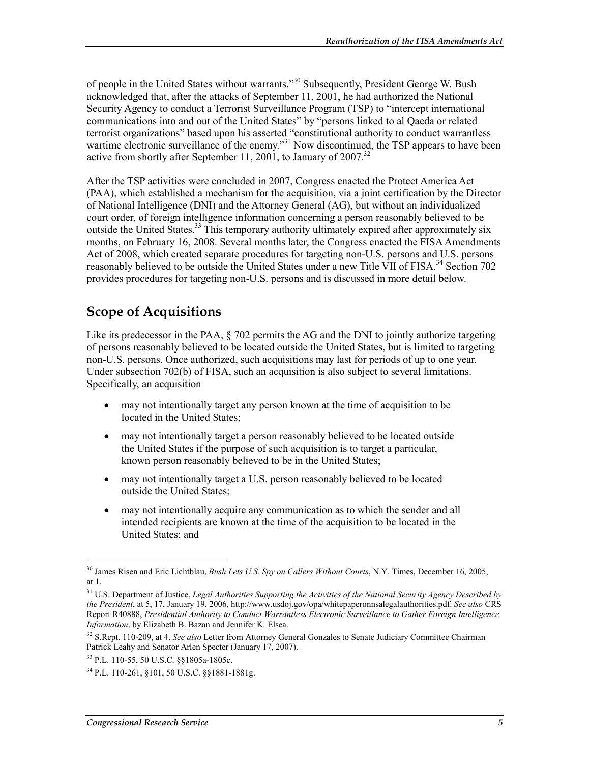of people in the United States without warrants."30 Subsequently, President George W. Bush acknowledged that, after the attacks of September 11, 2001, he had authorized the National Security Agency to conduct a Terrorist Surveillance Program (TSP) to "intercept international communications into and out of the United States" by "persons linked to al Qaeda or related terrorist organizations" based upon his asserted "constitutional authority to conduct warrantless wartime electronic surveillance of the enemy."<sup>31</sup> Now discontinued, the TSP appears to have been active from shortly after September 11, 2001, to January of  $2007$ .<sup>32</sup>

After the TSP activities were concluded in 2007, Congress enacted the Protect America Act (PAA), which established a mechanism for the acquisition, via a joint certification by the Director of National Intelligence (DNI) and the Attorney General (AG), but without an individualized court order, of foreign intelligence information concerning a person reasonably believed to be outside the United States.<sup>33</sup> This temporary authority ultimately expired after approximately six months, on February 16, 2008. Several months later, the Congress enacted the FISA Amendments Act of 2008, which created separate procedures for targeting non-U.S. persons and U.S. persons reasonably believed to be outside the United States under a new Title VII of FISA.<sup>34</sup> Section 702 provides procedures for targeting non-U.S. persons and is discussed in more detail below.

#### **Scope of Acquisitions**

Like its predecessor in the PAA,  $\S$  702 permits the AG and the DNI to jointly authorize targeting of persons reasonably believed to be located outside the United States, but is limited to targeting non-U.S. persons. Once authorized, such acquisitions may last for periods of up to one year. Under subsection 702(b) of FISA, such an acquisition is also subject to several limitations. Specifically, an acquisition

- may not intentionally target any person known at the time of acquisition to be located in the United States;
- may not intentionally target a person reasonably believed to be located outside the United States if the purpose of such acquisition is to target a particular, known person reasonably believed to be in the United States;
- may not intentionally target a U.S. person reasonably believed to be located outside the United States;
- may not intentionally acquire any communication as to which the sender and all intended recipients are known at the time of the acquisition to be located in the United States; and

1

<sup>30</sup> James Risen and Eric Lichtblau, *Bush Lets U.S. Spy on Callers Without Courts*, N.Y. Times, December 16, 2005, at 1.

<sup>31</sup> U.S. Department of Justice, *Legal Authorities Supporting the Activities of the National Security Agency Described by the President*, at 5, 17, January 19, 2006, http://www.usdoj.gov/opa/whitepaperonnsalegalauthorities.pdf. *See also* CRS Report R40888, *Presidential Authority to Conduct Warrantless Electronic Surveillance to Gather Foreign Intelligence Information*, by Elizabeth B. Bazan and Jennifer K. Elsea.

<sup>32</sup> S.Rept. 110-209, at 4. *See also* Letter from Attorney General Gonzales to Senate Judiciary Committee Chairman Patrick Leahy and Senator Arlen Specter (January 17, 2007).

<sup>33</sup> P.L. 110-55, 50 U.S.C. §§1805a-1805c.

<sup>34</sup> P.L. 110-261, §101, 50 U.S.C. §§1881-1881g.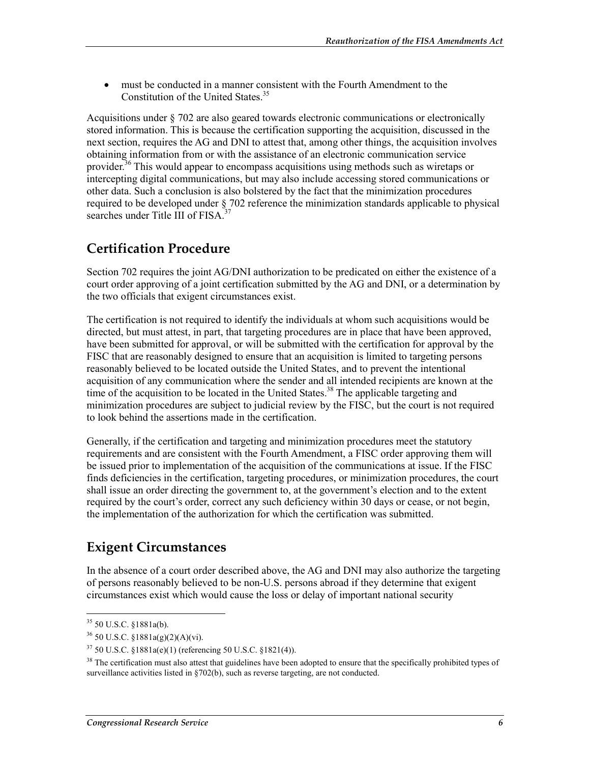• must be conducted in a manner consistent with the Fourth Amendment to the Constitution of the United States.<sup>35</sup>

Acquisitions under § 702 are also geared towards electronic communications or electronically stored information. This is because the certification supporting the acquisition, discussed in the next section, requires the AG and DNI to attest that, among other things, the acquisition involves obtaining information from or with the assistance of an electronic communication service provider.<sup>36</sup> This would appear to encompass acquisitions using methods such as wiretaps or intercepting digital communications, but may also include accessing stored communications or other data. Such a conclusion is also bolstered by the fact that the minimization procedures required to be developed under § 702 reference the minimization standards applicable to physical searches under Title III of FISA $<sup>3</sup>$ </sup>

#### **Certification Procedure**

Section 702 requires the joint AG/DNI authorization to be predicated on either the existence of a court order approving of a joint certification submitted by the AG and DNI, or a determination by the two officials that exigent circumstances exist.

The certification is not required to identify the individuals at whom such acquisitions would be directed, but must attest, in part, that targeting procedures are in place that have been approved, have been submitted for approval, or will be submitted with the certification for approval by the FISC that are reasonably designed to ensure that an acquisition is limited to targeting persons reasonably believed to be located outside the United States, and to prevent the intentional acquisition of any communication where the sender and all intended recipients are known at the time of the acquisition to be located in the United States.<sup>38</sup> The applicable targeting and minimization procedures are subject to judicial review by the FISC, but the court is not required to look behind the assertions made in the certification.

Generally, if the certification and targeting and minimization procedures meet the statutory requirements and are consistent with the Fourth Amendment, a FISC order approving them will be issued prior to implementation of the acquisition of the communications at issue. If the FISC finds deficiencies in the certification, targeting procedures, or minimization procedures, the court shall issue an order directing the government to, at the government's election and to the extent required by the court's order, correct any such deficiency within 30 days or cease, or not begin, the implementation of the authorization for which the certification was submitted.

#### **Exigent Circumstances**

In the absence of a court order described above, the AG and DNI may also authorize the targeting of persons reasonably believed to be non-U.S. persons abroad if they determine that exigent circumstances exist which would cause the loss or delay of important national security

1

 $35$  50 U.S.C.  $$1881a(b)$ .

 $36$  50 U.S.C. §1881a(g)(2)(A)(vi).

<sup>37 50</sup> U.S.C. §1881a(e)(1) (referencing 50 U.S.C. §1821(4)).

<sup>&</sup>lt;sup>38</sup> The certification must also attest that guidelines have been adopted to ensure that the specifically prohibited types of surveillance activities listed in §702(b), such as reverse targeting, are not conducted.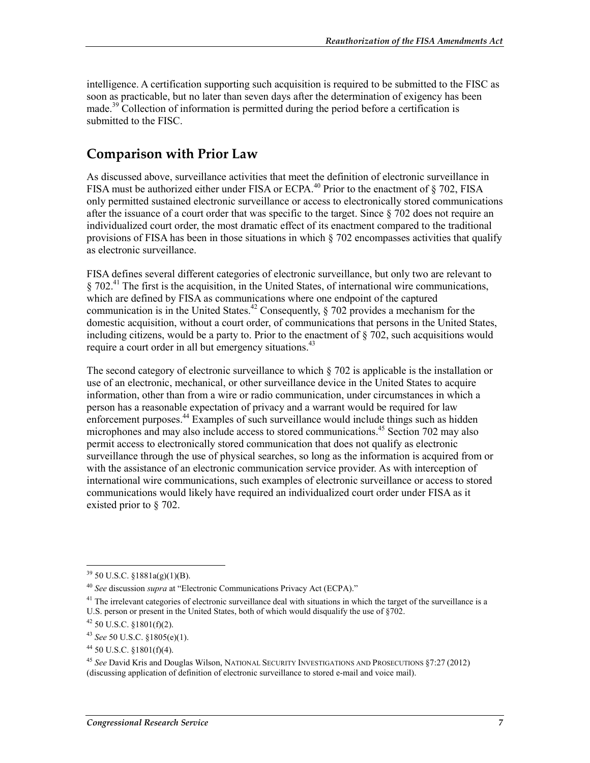intelligence. A certification supporting such acquisition is required to be submitted to the FISC as soon as practicable, but no later than seven days after the determination of exigency has been made.<sup>39</sup> Collection of information is permitted during the period before a certification is submitted to the FISC.

#### **Comparison with Prior Law**

As discussed above, surveillance activities that meet the definition of electronic surveillance in FISA must be authorized either under FISA or ECPA.<sup>40</sup> Prior to the enactment of  $\S$  702, FISA only permitted sustained electronic surveillance or access to electronically stored communications after the issuance of a court order that was specific to the target. Since § 702 does not require an individualized court order, the most dramatic effect of its enactment compared to the traditional provisions of FISA has been in those situations in which § 702 encompasses activities that qualify as electronic surveillance.

FISA defines several different categories of electronic surveillance, but only two are relevant to  $\S 702<sup>41</sup>$  The first is the acquisition, in the United States, of international wire communications, which are defined by FISA as communications where one endpoint of the captured communication is in the United States.<sup>42</sup> Consequently, § 702 provides a mechanism for the domestic acquisition, without a court order, of communications that persons in the United States, including citizens, would be a party to. Prior to the enactment of  $\S 702$ , such acquisitions would require a court order in all but emergency situations.<sup>43</sup>

The second category of electronic surveillance to which  $\S$  702 is applicable is the installation or use of an electronic, mechanical, or other surveillance device in the United States to acquire information, other than from a wire or radio communication, under circumstances in which a person has a reasonable expectation of privacy and a warrant would be required for law enforcement purposes.<sup>44</sup> Examples of such surveillance would include things such as hidden microphones and may also include access to stored communications.<sup>45</sup> Section 702 may also permit access to electronically stored communication that does not qualify as electronic surveillance through the use of physical searches, so long as the information is acquired from or with the assistance of an electronic communication service provider. As with interception of international wire communications, such examples of electronic surveillance or access to stored communications would likely have required an individualized court order under FISA as it existed prior to § 702.

1

 $39$  50 U.S.C. §1881a(g)(1)(B).

<sup>40</sup> *See* discussion *supra* at "Electronic Communications Privacy Act (ECPA)."

 $^{41}$  The irrelevant categories of electronic surveillance deal with situations in which the target of the surveillance is a U.S. person or present in the United States, both of which would disqualify the use of §702.

 $42$  50 U.S.C. §1801(f)(2).

<sup>43</sup> *See* 50 U.S.C. §1805(e)(1).

 $44$  50 U.S.C. §1801(f)(4).

<sup>45</sup> *See* David Kris and Douglas Wilson, NATIONAL SECURITY INVESTIGATIONS AND PROSECUTIONS §7:27 (2012) (discussing application of definition of electronic surveillance to stored e-mail and voice mail).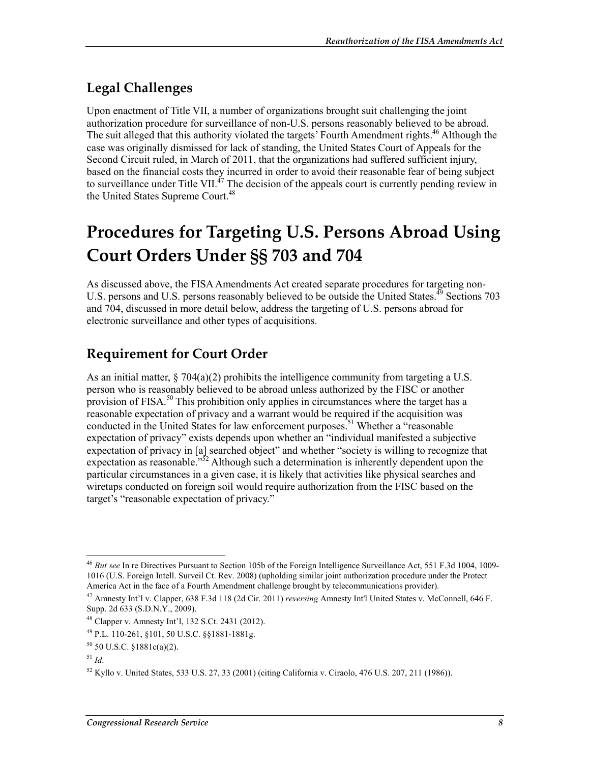#### **Legal Challenges**

Upon enactment of Title VII, a number of organizations brought suit challenging the joint authorization procedure for surveillance of non-U.S. persons reasonably believed to be abroad. The suit alleged that this authority violated the targets' Fourth Amendment rights.<sup>46</sup> Although the case was originally dismissed for lack of standing, the United States Court of Appeals for the Second Circuit ruled, in March of 2011, that the organizations had suffered sufficient injury, based on the financial costs they incurred in order to avoid their reasonable fear of being subject to surveillance under Title VII. $^{47}$  The decision of the appeals court is currently pending review in the United States Supreme Court.<sup>48</sup>

## **Procedures for Targeting U.S. Persons Abroad Using Court Orders Under §§ 703 and 704**

As discussed above, the FISA Amendments Act created separate procedures for targeting non-U.S. persons and U.S. persons reasonably believed to be outside the United States.<sup>49</sup> Sections 703 and 704, discussed in more detail below, address the targeting of U.S. persons abroad for electronic surveillance and other types of acquisitions.

#### **Requirement for Court Order**

As an initial matter,  $\S 704(a)(2)$  prohibits the intelligence community from targeting a U.S. person who is reasonably believed to be abroad unless authorized by the FISC or another provision of FISA.<sup>50</sup> This prohibition only applies in circumstances where the target has a reasonable expectation of privacy and a warrant would be required if the acquisition was conducted in the United States for law enforcement purposes.<sup>51</sup> Whether a "reasonable" expectation of privacy" exists depends upon whether an "individual manifested a subjective expectation of privacy in [a] searched object" and whether "society is willing to recognize that expectation as reasonable."<sup>52</sup> Although such a determination is inherently dependent upon the particular circumstances in a given case, it is likely that activities like physical searches and wiretaps conducted on foreign soil would require authorization from the FISC based on the target's "reasonable expectation of privacy."

<sup>1</sup> <sup>46</sup> *But see* In re Directives Pursuant to Section 105b of the Foreign Intelligence Surveillance Act, 551 F.3d 1004, 1009- 1016 (U.S. Foreign Intell. Surveil Ct. Rev. 2008) (upholding similar joint authorization procedure under the Protect America Act in the face of a Fourth Amendment challenge brought by telecommunications provider).

<sup>47</sup> Amnesty Int'l v. Clapper, 638 F.3d 118 (2d Cir. 2011) *reversing* Amnesty Int'l United States v. McConnell, 646 F. Supp. 2d 633 (S.D.N.Y., 2009).

<sup>48</sup> Clapper v. Amnesty Int'l, 132 S.Ct. 2431 (2012).

<sup>49</sup> P.L. 110-261, §101, 50 U.S.C. §§1881-1881g.

 $50$  U.S.C. §1881c(a)(2).

<sup>51</sup> *Id*.

 $52$  Kyllo v. United States, 533 U.S. 27, 33 (2001) (citing California v. Ciraolo, 476 U.S. 207, 211 (1986)).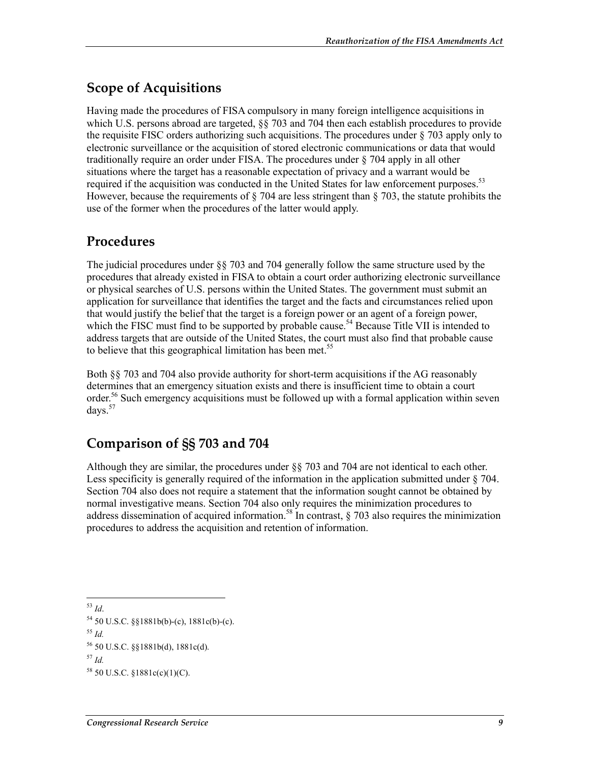#### **Scope of Acquisitions**

Having made the procedures of FISA compulsory in many foreign intelligence acquisitions in which U.S. persons abroad are targeted, §§ 703 and 704 then each establish procedures to provide the requisite FISC orders authorizing such acquisitions. The procedures under  $\S$  703 apply only to electronic surveillance or the acquisition of stored electronic communications or data that would traditionally require an order under FISA. The procedures under § 704 apply in all other situations where the target has a reasonable expectation of privacy and a warrant would be required if the acquisition was conducted in the United States for law enforcement purposes.<sup>53</sup> However, because the requirements of § 704 are less stringent than § 703, the statute prohibits the use of the former when the procedures of the latter would apply.

#### **Procedures**

The judicial procedures under §§ 703 and 704 generally follow the same structure used by the procedures that already existed in FISA to obtain a court order authorizing electronic surveillance or physical searches of U.S. persons within the United States. The government must submit an application for surveillance that identifies the target and the facts and circumstances relied upon that would justify the belief that the target is a foreign power or an agent of a foreign power, which the FISC must find to be supported by probable cause.<sup>54</sup> Because Title VII is intended to address targets that are outside of the United States, the court must also find that probable cause to believe that this geographical limitation has been met.<sup>55</sup>

Both §§ 703 and 704 also provide authority for short-term acquisitions if the AG reasonably determines that an emergency situation exists and there is insufficient time to obtain a court order.<sup>56</sup> Such emergency acquisitions must be followed up with a formal application within seven days.57

#### **Comparison of §§ 703 and 704**

Although they are similar, the procedures under §§ 703 and 704 are not identical to each other. Less specificity is generally required of the information in the application submitted under § 704. Section 704 also does not require a statement that the information sought cannot be obtained by normal investigative means. Section 704 also only requires the minimization procedures to address dissemination of acquired information.<sup>58</sup> In contrast,  $\frac{8}{203}$  also requires the minimization procedures to address the acquisition and retention of information.

1 <sup>53</sup> *Id*.

 $57$  *Id.* 

 $54$  50 U.S.C. §§1881b(b)-(c), 1881c(b)-(c).

<sup>55</sup> *Id.* 

<sup>56 50</sup> U.S.C. §§1881b(d), 1881c(d).

 $58$  50 U.S.C.  $$1881c(c)(1)(C)$ .